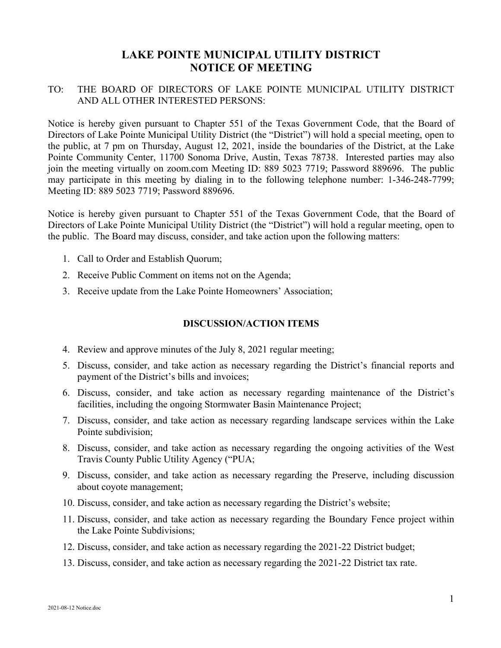## **LAKE POINTE MUNICIPAL UTILITY DISTRICT NOTICE OF MEETING**

## TO: THE BOARD OF DIRECTORS OF LAKE POINTE MUNICIPAL UTILITY DISTRICT AND ALL OTHER INTERESTED PERSONS:

Notice is hereby given pursuant to Chapter 551 of the Texas Government Code, that the Board of Directors of Lake Pointe Municipal Utility District (the "District") will hold a special meeting, open to the public, at 7 pm on Thursday, August 12, 2021, inside the boundaries of the District, at the Lake Pointe Community Center, 11700 Sonoma Drive, Austin, Texas 78738. Interested parties may also join the meeting virtually on zoom.com Meeting ID: 889 5023 7719; Password 889696. The public may participate in this meeting by dialing in to the following telephone number: 1-346-248-7799; Meeting ID: 889 5023 7719; Password 889696.

Notice is hereby given pursuant to Chapter 551 of the Texas Government Code, that the Board of Directors of Lake Pointe Municipal Utility District (the "District") will hold a regular meeting, open to the public. The Board may discuss, consider, and take action upon the following matters:

- 1. Call to Order and Establish Quorum;
- 2. Receive Public Comment on items not on the Agenda;
- 3. Receive update from the Lake Pointe Homeowners' Association;

## **DISCUSSION/ACTION ITEMS**

- 4. Review and approve minutes of the July 8, 2021 regular meeting;
- 5. Discuss, consider, and take action as necessary regarding the District's financial reports and payment of the District's bills and invoices;
- 6. Discuss, consider, and take action as necessary regarding maintenance of the District's facilities, including the ongoing Stormwater Basin Maintenance Project;
- 7. Discuss, consider, and take action as necessary regarding landscape services within the Lake Pointe subdivision;
- 8. Discuss, consider, and take action as necessary regarding the ongoing activities of the West Travis County Public Utility Agency ("PUA;
- 9. Discuss, consider, and take action as necessary regarding the Preserve, including discussion about coyote management;
- 10. Discuss, consider, and take action as necessary regarding the District's website;
- 11. Discuss, consider, and take action as necessary regarding the Boundary Fence project within the Lake Pointe Subdivisions;
- 12. Discuss, consider, and take action as necessary regarding the 2021-22 District budget;
- 13. Discuss, consider, and take action as necessary regarding the 2021-22 District tax rate.